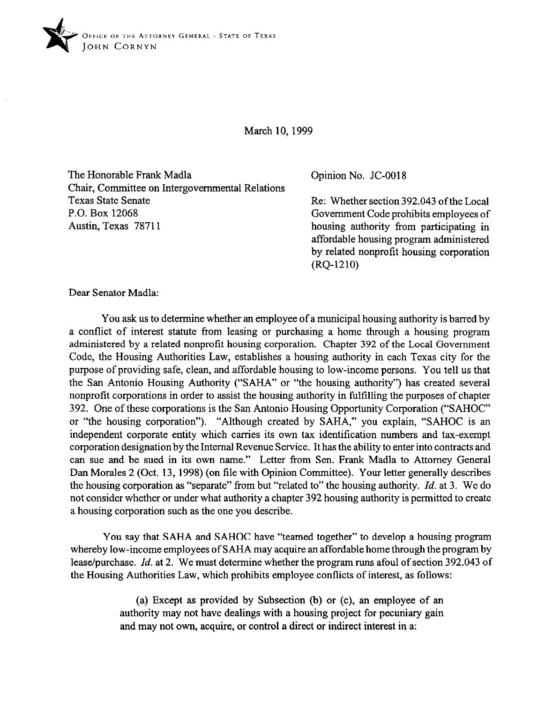

March 10, 1999

The Honorable Frank Madla Chair, Committee on Intergovernmental Relations Texas State Senate P.O. Box 12068 Austin, Texas 78711

Opinion No. JC-0018

Re: Whether section 392.043 of the Local Government Code prohibits employees of housing authority from participating in affordable housing program administered by related nonprofit housing corporation (RQ-1210)

Dear Senator Madla:

You ask us to determine whether an employee of a municipal housing authority is barred by a conflict of interest statute from leasing or purchasing a home through a housing program administered by a related nonprofit housing corporation. Chapter 392 of the Local Government Code, the Housing Authorities Law, establishes a housing authority in each Texas city for the purpose of providing safe, clean, and affordable housing to low-income persons. You tell us that the San Antonio Housing Authority ("SAHA" or "the housing authority") has created several nonprofit corporations in order to assist the housing authority in fulfilling the purposes of chapter 392. One of these corporations is the San Antonio Housing Opportunity Corporation ("SAHOC" or "the housing corporation"). "Although created by SAHA," you explain, "SAHOC is an independent corporate entity which carries its own tax identification numbers and tax-exempt corporation designation by the Internal Revenue Service. It has the ability to enter into contracts and can sue and be sued in its own name." Letter from Sen. Frank Madla to Attorney General Dan Morales 2 (Oct. 13, 1998) (on file with Opinion Committee). Your letter generally describes the housing corporation as "separate" from but "related to" the housing authority. *Id.* at 3. We do not consider whether or under what authority a chapter 392 housing authority is permitted to create a housing corporation such as the one you describe.

You say that SAHA and SAHOC have "teamed together" to develop a housing program whereby low-income employees of SAHA may acquire an affordable home through the program by lease/purchase. *Id.* at 2. We must determine whether the program runs afoul of section 392.043 of the Housing Authorities Law, which prohibits employee conflicts of interest, as follows:

> (a) Except as provided by Subsection (b) or (c), an employee of an authority may not have dealings with a housing project for pecuniary gain and may not own, acquire, or control a direct or indirect interest in a: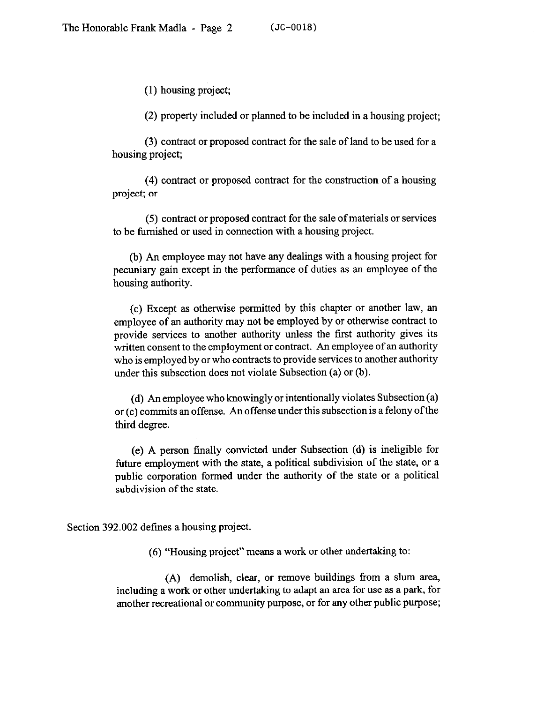(1) housing project;

(2) property included or planned to be included in a housing project;

(3) contract or proposed contract for the sale of land to be used for a housing project;

(4) contract or proposed contract for the construction of a housing project; or

(5) contract or proposed contract for the sale of materials or services to be furnished or used in connection with a housing project.

(b) An employee may not have any dealings with a housing project for pecuniary gain except in the performance of duties as an employee of the housing authority.

(c) Except as otherwise permitted by this chapter or another law, an employee of an authority may not be employed by or otherwise contract to provide services to another authority unless the first authority gives its written consent to the employment or contract. An employee of an authority who is employed by or who contracts to provide services to another authority under this subsection does not violate Subsection (a) or (b).

(d) An employee who knowingly or intentionally violates Subsection (a) or (c) commits an offense. An offense under this subsection is a felony of the third degree.

(e) A person finally convicted under Subsection (d) is ineligible for future employment with the state, a political subdivision of the state, or a public corporation formed under the authority of the state or a political subdivision of the state.

Section 392.002 defines a housing project.

(6) "Housing project" means a work or other undertaking to:

(A) demolish, clear, or remove buildings from a slum area, including a work or other undertaking to adapt an area for use as a park, for another recreational or community purpose, or for any other public purpose;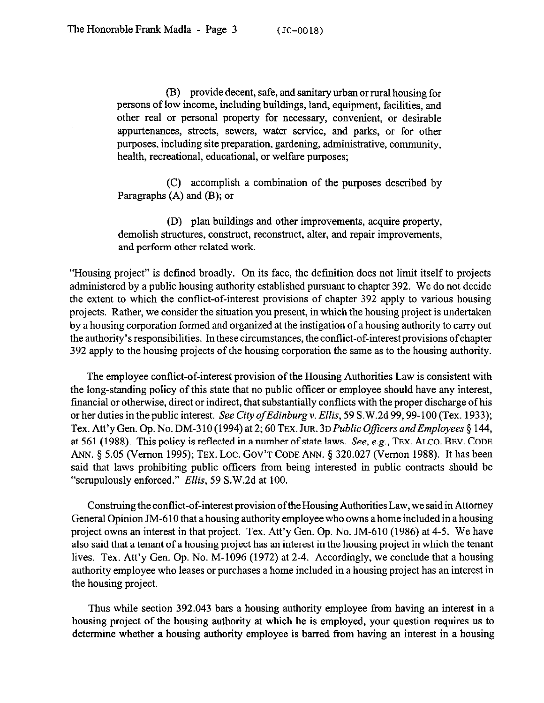(B) provide decent, safe, and sanitary urban or rural housing for persons of low income, including buildings, land, equipment, facilities, and other real or personal property for necessary, convenient, or desirable appurtenances, streets, sewers, water service, and parks, or for other purposes, including site preparation, gardening, administrative, community, health, recreational, educational, or welfare purposes;

(C) accomplish a combination of the purposes described by Paragraphs (A) and (B); or

(D) plan buildings and other improvements, acquire property, demolish structures, construct, reconstruct, alter, and repair improvements, and perform other related work.

"Housing project" is defined broadly. On its face, the definition does not limit itself to projects administered by a public housing authority established pursuant to chapter 392. We do not decide the extent to which the conflict-of-interest provisions of chapter 392 apply to various housing projects. Rather, we consider the situation you present, in which the housing project is undertaken by a housing corporation formed and organized at the instigation of a housing authority to carry out the authority's responsibilities. In these circumstances, the conflict-of-interest provisions ofchapter 392 apply to the housing projects of the housing corporation the same as to the housing authority.

The employee conflict-of-interest provision of the Housing Authorities Law is consistent with the long-standing policy of this state that no public officer or employee should have any interest, financial or otherwise, direct or indirect, that substantially conflicts with the proper discharge of his or her duties in the public interest. *See City ofEdinburgv. Ellis, 59* S.W.2d 99,99-100 (Tex. 1933); Tex. Att'y Gen. *Op. No.* DM-3 10 (1994) at *2; 60* **TEX.** *JUR.* **3D** *Public 0fficers andEmployees 8* 144, at 561 (1988). This policy is reflected in a number of state laws. See, e.g., **TEX. ALCO. BEV. CODE**  ANN. § 5.05 (Vernon 1995); TEX. LOC. GOV'T CODE ANN. § 320.027 (Vernon 1988). It has been said that laws prohibiting public officers from being interested in public contracts should be "scrupulously enforced." *Ellis, 59* S.W.2d at 100.

Construing the conflict-of-interest provision ofthe Housing Authorities Law, we said in Attorney General Opinion IM-6 10 that a housing authority employee who owns a home included in a housing project owns an interest in that project. Tex. Att'y Gen. Op. No. JM-610 (1986) at 4-5. We have also said that a tenant of a housing project has an interest in the housing project in which the tenant lives. Tex. Att'y Gen. Op. No. M-1096 (1972) at 2-4. Accordingly, we conclude that a housing authority employee who leases or purchases a home included in a housing project has an interest in the housing project.

Thus while section 392.043 bars a housing authority employee from having an interest in a housing project of the housing authority at which he is employed, your question requires us to determine whether a housing authority employee is barred from having an interest in a housing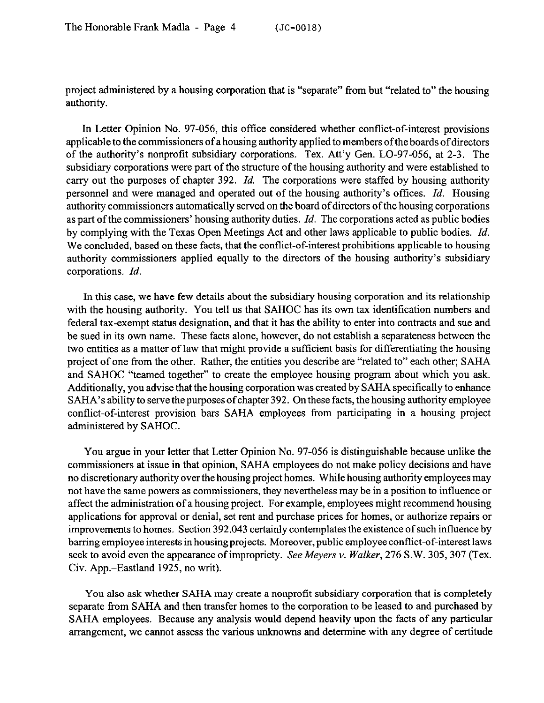project administered by a housing corporation that is "separate" from but "related to" the housing authority.

In Letter Opinion No. 97-056, this office considered whether conflict-of-interest provisions applicable to the commissioners of a housing authority applied to members ofthe boards of directors of the authority's nonprofit subsidiary corporations. Tex. Att'y Gen. LO-97-056, at 2-3. The subsidiary corporations were part of the structure of the housing authority and were established to carry out the purposes of chapter 392. *Id.* The corporations were staffed by housing authority personnel and were managed and operated out of the housing authority's offices. *Id.* Housing authority commissioners automatically served on the board of directors of the housing corporations as part of the commissioners' housing authority duties. *Id.* The corporations acted as public bodies by complying with the Texas Open Meetings Act and other laws applicable to public bodies. *Id.*  We concluded, based on these facts, that the conflict-of-interest prohibitions applicable to housing authority commissioners applied equally to the directors of the housing authority's subsidiary corporations. *Id.* 

In this case, we have few details about the subsidiary housing corporation and its relationship with the housing authority. You tell us that SAHOC has its own tax identification numbers and federal tax-exempt status designation, and that it has the ability to enter into contracts and sue and be sued in its own name. These facts alone, however, do not establish a separateness between the two entities as a matter of law that might provide a sufficient basis for differentiating the housing project of one from the other. Rather, the entities you describe are "related to" each other; SAHA and SAHOC "teamed together" to create the employee housing program about which you ask. Additionally, you advise that the housing corporation was created by SAHA specifically to enhance SAHA's ability to serve the purposes of chapter 392. On these facts, the housing authority employee conflict-of-interest provision bars SAHA employees from participating in a housing project administered by SAHOC.

You argue in your letter that Letter Opinion No. 97-056 is distinguishable because unlike the commissioners at issue in that opinion, SAHA employees do not make policy decisions and have no discretionary authority over the housing project homes. While housing authority employees may not have the same powers as commissioners, they nevertheless may be in a position to influence or affect the administration of a housing project. For example, employees might recommend housing applications for approval or denial, set rent and purchase prices for homes, or authorize repairs or improvements to homes. Section 392.043 certainly contemplates the existence of such influence by barring employee interests in housing projects. Moreover, public employee conflict-of-interest laws seek to avoid even the appearance of impropriety. See Meyers v. Walker, 276 S.W. 305, 307 (Tex. Civ. App.-Eastland 1925, no writ).

You also ask whether SAHA may create a nonprofit subsidiary corporation that is completely separate from SAHA and then transfer homes to the corporation to be leased to and purchased by SAHA employees. Because any analysis would depend heavily upon the facts of any particular arrangement, we cannot assess the various unknowns and determine with any degree of certitude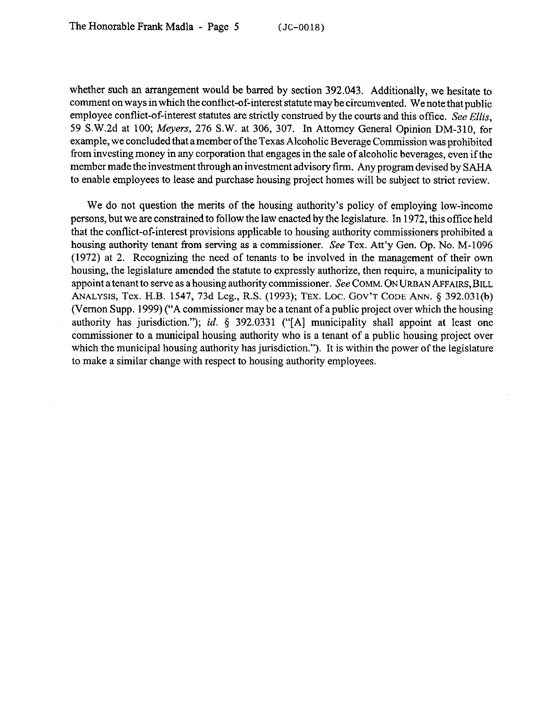whether such an arrangement would be barred by section 392.043. Additionally, we hesitate to comment on ways inwhich the conflict-of-interest statute may be circumvented. We note that public employee conflict-of-interest statutes are strictly construed by the courts and this office. See Ellis, 59 S.W.2d at 100; Meyers, 276 S.W. at 306, 307. In Attorney General Opinion DM-310, for example, we concluded that amember of the Texas Alcoholic Beverage Commission was prohibited from investing money in any corporation that engages in the sale of alcoholic beverages, even if the member made the investment through an investment advisory firm. Any program devised by SAHA to enable employees to lease and purchase housing project homes will be subject to strict review.

We do not question the merits of the housing authority's policy of employing low-income persons, but we are constrained to follow the law enacted by the legislature. In 1972, this office held that the conflict-of-interest provisions applicable to housing authority commissioners prohibited a housing authority tenant from serving as a commissioner. See Tex. Att'y Gen. Op. No. M-1096 (1972) at 2. Recognizing the need of tenants to be involved in the management of their own housing, the legislature amended the statute to expressly authorize, then require, a municipality to appoint a tenant to serve as a housing authority commissioner. See COMM. ON URBAN AFFAIRS, BILL ANALYSIS, Tex. H.B. 1547, 73d Leg., R.S. (1993); TEX. Loc. Gov't Code Ann. § 392.031(b) (Vernon Supp. 1999) ("A commissioner may be a tenant of a public project over which the housing authority has jurisdiction."); *id. §* 392.0331 ("[A] municipality shall appoint at least one commissioner to a municipal housing authority who is a tenant of a public housing project over which the municipal housing authority has jurisdiction."). It is within the power of the legislature to make a similar change with respect to housing authority employees.